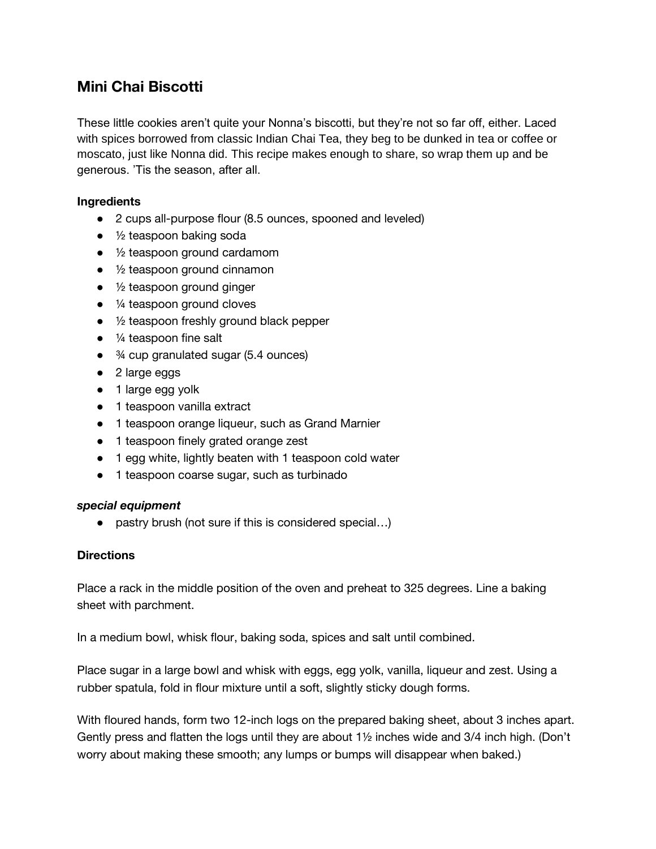## **Mini Chai Biscotti**

These little cookies aren't quite your Nonna's biscotti, but they're not so far off, either. Laced with spices borrowed from classic Indian Chai Tea, they beg to be dunked in tea or coffee or moscato, just like Nonna did. This recipe makes enough to share, so wrap them up and be generous. 'Tis the season, after all.

## **Ingredients**

- 2 cups all-purpose flour (8.5 ounces, spooned and leveled)
- $\bullet$  1/2 teaspoon baking soda
- ½ teaspoon ground cardamom
- ½ teaspoon ground cinnamon
- ½ teaspoon ground ginger
- $\bullet$   $\frac{1}{4}$  teaspoon ground cloves
- ½ teaspoon freshly ground black pepper
- $\bullet$   $\frac{1}{4}$  teaspoon fine salt
- <sup>3</sup>⁄4 cup granulated sugar (5.4 ounces)
- 2 large eggs
- 1 large egg yolk
- 1 teaspoon vanilla extract
- 1 teaspoon orange liqueur, such as Grand Marnier
- 1 teaspoon finely grated orange zest
- 1 egg white, lightly beaten with 1 teaspoon cold water
- 1 teaspoon coarse sugar, such as turbinado

## *special equipment*

• pastry brush (not sure if this is considered special...)

## **Directions**

Place a rack in the middle position of the oven and preheat to 325 degrees. Line a baking sheet with parchment.

In a medium bowl, whisk flour, baking soda, spices and salt until combined.

Place sugar in a large bowl and whisk with eggs, egg yolk, vanilla, liqueur and zest. Using a rubber spatula, fold in flour mixture until a soft, slightly sticky dough forms.

With floured hands, form two 12-inch logs on the prepared baking sheet, about 3 inches apart. Gently press and flatten the logs until they are about 1½ inches wide and 3/4 inch high. (Don't worry about making these smooth; any lumps or bumps will disappear when baked.)